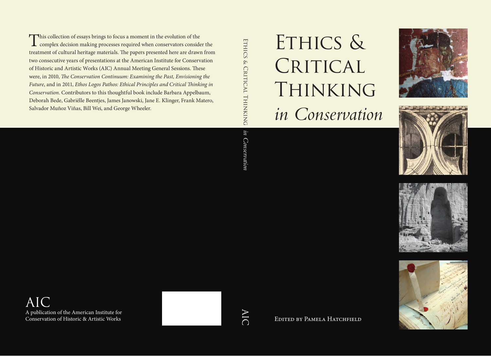# Ethics & CRITICAL THINKING *in Conservation*









EDITED BY PAMELA HATCHFIELD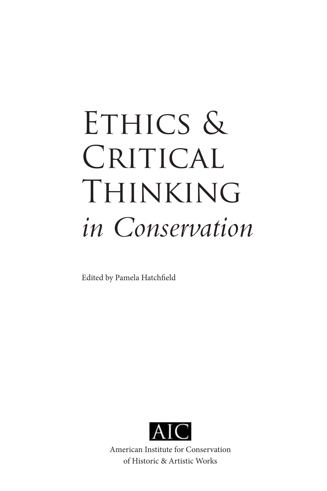# ETHICS & CRITICAL THINKING *in Conservation*

Edited by Pamela Hatchfield



American Institute for Conservation of Historic & Artistic Works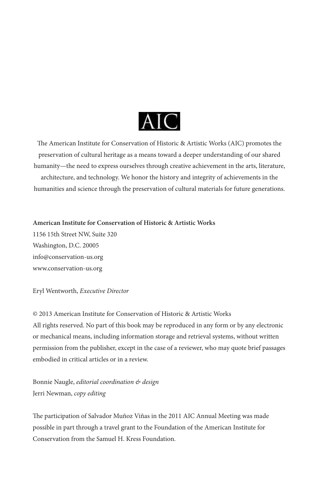

The American Institute for Conservation of Historic & Artistic Works (AIC) promotes the preservation of cultural heritage as a means toward a deeper understanding of our shared humanity—the need to express ourselves through creative achievement in the arts, literature, architecture, and technology. We honor the history and integrity of achievements in the humanities and science through the preservation of cultural materials for future generations.

**American Institute for Conservation of Historic & Artistic Works**

1156 15th Street NW, Suite 320 Washington, D.C. 20005 info@conservation-us.org www.conservation-us.org

Eryl Wentworth, *Executive Director*

© 2013 American Institute for Conservation of Historic & Artistic Works All rights reserved. No part of this book may be reproduced in any form or by any electronic or mechanical means, including information storage and retrieval systems, without written permission from the publisher, except in the case of a reviewer, who may quote brief passages embodied in critical articles or in a review.

Bonnie Naugle, *editorial coordination & design* Jerri Newman, *copy editing*

The participation of Salvador Muñoz Viñas in the 2011 AIC Annual Meeting was made possible in part through a travel grant to the Foundation of the American Institute for Conservation from the Samuel H. Kress Foundation.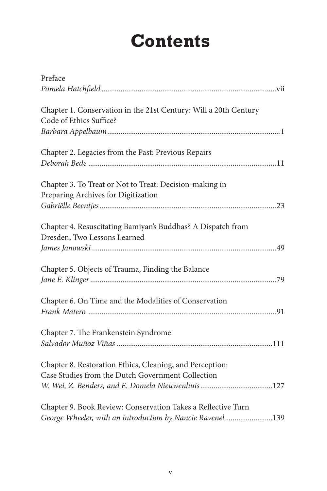# **Contents**

| Preface                                                                                                                   |
|---------------------------------------------------------------------------------------------------------------------------|
|                                                                                                                           |
| Chapter 1. Conservation in the 21st Century: Will a 20th Century<br>Code of Ethics Suffice?                               |
|                                                                                                                           |
| Chapter 2. Legacies from the Past: Previous Repairs                                                                       |
| Chapter 3. To Treat or Not to Treat: Decision-making in<br>Preparing Archives for Digitization                            |
| Chapter 4. Resuscitating Bamiyan's Buddhas? A Dispatch from<br>Dresden, Two Lessons Learned                               |
|                                                                                                                           |
| Chapter 5. Objects of Trauma, Finding the Balance                                                                         |
| Chapter 6. On Time and the Modalities of Conservation                                                                     |
| Chapter 7. The Frankenstein Syndrome                                                                                      |
| Chapter 8. Restoration Ethics, Cleaning, and Perception:<br>Case Studies from the Dutch Government Collection             |
| Chapter 9. Book Review: Conservation Takes a Reflective Turn<br>George Wheeler, with an introduction by Nancie Ravenel139 |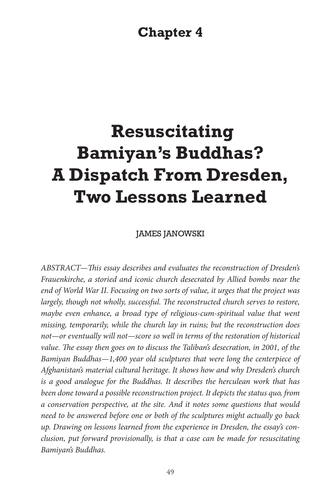# **Chapter 4**

# **Resuscitating Bamiyan's Buddhas? A Dispatch From Dresden, Two Lessons Learned**

JAMES JANOWSKI

*ABSTRACT—This essay describes and evaluates the reconstruction of Dresden's Frauenkirche, a storied and iconic church desecrated by Allied bombs near the end of World War II. Focusing on two sorts of value, it urges that the project was largely, though not wholly, successful. The reconstructed church serves to restore,*  maybe even enhance, a broad type of religious-cum-spiritual value that went *missing, temporarily, while the church lay in ruins; but the reconstruction does not—or eventually will not—score so well in terms of the restoration of historical value. The essay then goes on to discuss the Taliban's desecration, in 2001, of the Bamiyan Buddhas—1,400 year old sculptures that were long the centerpiece of Afghanistan's material cultural heritage. It shows how and why Dresden's church is a good analogue for the Buddhas. It describes the herculean work that has been done toward a possible reconstruction project. It depicts the status quo, from a conservation perspective, at the site. And it notes some questions that would need to be answered before one or both of the sculptures might actually go back up. Drawing on lessons learned from the experience in Dresden, the essay's conclusion, put forward provisionally, is that a case can be made for resuscitating Bamiyan's Buddhas.*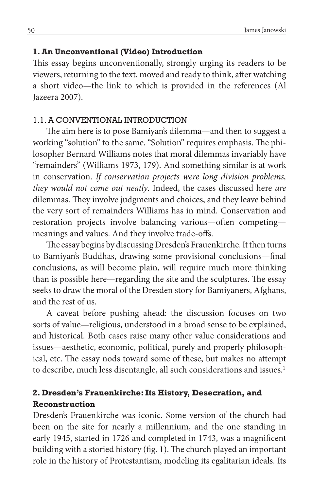#### **1. An Unconventional (Video) Introduction**

This essay begins unconventionally, strongly urging its readers to be viewers, returning to the text, moved and ready to think, after watching a short video—the link to which is provided in the references (Al Jazeera 2007).

#### 1.1. A CONVENTIONAL INTRODUCTION

The aim here is to pose Bamiyan's dilemma—and then to suggest a working "solution" to the same. "Solution" requires emphasis. The philosopher Bernard Williams notes that moral dilemmas invariably have "remainders" (Williams 1973, 179). And something similar is at work in conservation. *If conservation projects were long division problems, they would not come out neatly*. Indeed, the cases discussed here *are* dilemmas. They involve judgments and choices, and they leave behind the very sort of remainders Williams has in mind. Conservation and restoration projects involve balancing various—often competing meanings and values. And they involve trade-offs.

The essay begins by discussing Dresden's Frauenkirche. It then turns to Bamiyan's Buddhas, drawing some provisional conclusions—final conclusions, as will become plain, will require much more thinking than is possible here—regarding the site and the sculptures. The essay seeks to draw the moral of the Dresden story for Bamiyaners, Afghans, and the rest of us.

A caveat before pushing ahead: the discussion focuses on two sorts of value—religious, understood in a broad sense to be explained, and historical. Both cases raise many other value considerations and issues—aesthetic, economic, political, purely and properly philosophical, etc. The essay nods toward some of these, but makes no attempt to describe, much less disentangle, all such considerations and issues.<sup>1</sup>

### **2. Dresden's Frauenkirche: Its History, Desecration, and Reconstruction**

Dresden's Frauenkirche was iconic. Some version of the church had been on the site for nearly a millennium, and the one standing in early 1945, started in 1726 and completed in 1743, was a magnificent building with a storied history (fig. 1). The church played an important role in the history of Protestantism, modeling its egalitarian ideals. Its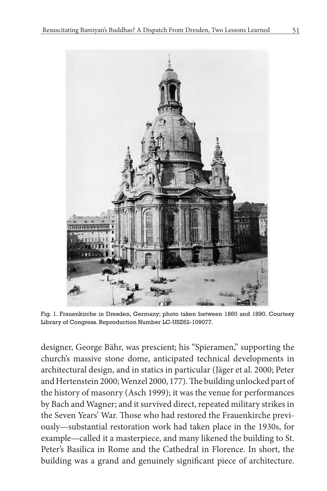

Fig. 1. Frauenkirche in Dresden, Germany; photo taken between 1860 and 1890. Courtesy Library of Congress. Reproduction Number LC-USZ62-109077.

designer, George Bähr, was prescient; his "Spieramen," supporting the church's massive stone dome, anticipated technical developments in architectural design, and in statics in particular (Jäger et al. 2000; Peter and Hertenstein 2000; Wenzel 2000, 177). The building unlocked part of the history of masonry (Asch 1999); it was the venue for performances by Bach and Wagner; and it survived direct, repeated military strikes in the Seven Years' War. Those who had restored the Frauenkirche previously—substantial restoration work had taken place in the 1930s, for example—called it a masterpiece, and many likened the building to St. Peter's Basilica in Rome and the Cathedral in Florence. In short, the building was a grand and genuinely significant piece of architecture.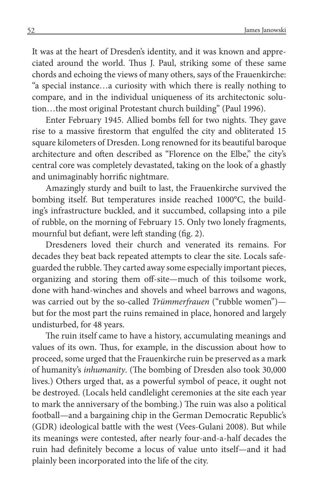It was at the heart of Dresden's identity, and it was known and appreciated around the world. Thus J. Paul, striking some of these same chords and echoing the views of many others, says of the Frauenkirche: "a special instance…a curiosity with which there is really nothing to compare, and in the individual uniqueness of its architectonic solution…the most original Protestant church building" (Paul 1996).

Enter February 1945. Allied bombs fell for two nights. They gave rise to a massive firestorm that engulfed the city and obliterated 15 square kilometers of Dresden. Long renowned for its beautiful baroque architecture and often described as "Florence on the Elbe," the city's central core was completely devastated, taking on the look of a ghastly and unimaginably horrific nightmare.

Amazingly sturdy and built to last, the Frauenkirche survived the bombing itself. But temperatures inside reached 1000°C, the building's infrastructure buckled, and it succumbed, collapsing into a pile of rubble, on the morning of February 15. Only two lonely fragments, mournful but defiant, were left standing (fig. 2).

Dresdeners loved their church and venerated its remains. For decades they beat back repeated attempts to clear the site. Locals safeguarded the rubble. They carted away some especially important pieces, organizing and storing them off-site—much of this toilsome work, done with hand-winches and shovels and wheel barrows and wagons, was carried out by the so-called *Trümmerfrauen* ("rubble women") but for the most part the ruins remained in place, honored and largely undisturbed, for 48 years.

The ruin itself came to have a history, accumulating meanings and values of its own. Thus, for example, in the discussion about how to proceed, some urged that the Frauenkirche ruin be preserved as a mark of humanity's *inhumanity*. (The bombing of Dresden also took 30,000 lives.) Others urged that, as a powerful symbol of peace, it ought not be destroyed. (Locals held candlelight ceremonies at the site each year to mark the anniversary of the bombing.) The ruin was also a political football—and a bargaining chip in the German Democratic Republic's (GDR) ideological battle with the west (Vees-Gulani 2008). But while its meanings were contested, after nearly four-and-a-half decades the ruin had definitely become a locus of value unto itself—and it had plainly been incorporated into the life of the city.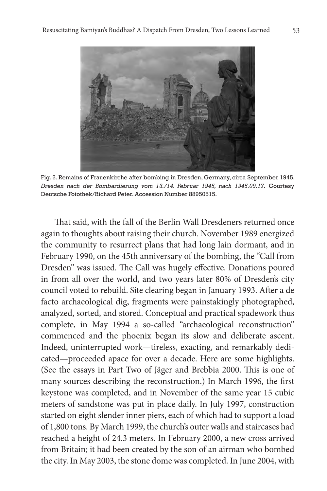

Fig. 2. Remains of Frauenkirche after bombing in Dresden, Germany, circa September 1945. *Dresden nach der Bombardierung vom 13./14. Februar 1945, nach 1945.09.17.* Courtesy Deutsche Fotothek/Richard Peter. Accession Number 88950515.

That said, with the fall of the Berlin Wall Dresdeners returned once again to thoughts about raising their church. November 1989 energized the community to resurrect plans that had long lain dormant, and in February 1990, on the 45th anniversary of the bombing, the "Call from Dresden" was issued. The Call was hugely effective. Donations poured in from all over the world, and two years later 80% of Dresden's city council voted to rebuild. Site clearing began in January 1993. After a de facto archaeological dig, fragments were painstakingly photographed, analyzed, sorted, and stored. Conceptual and practical spadework thus complete, in May 1994 a so-called "archaeological reconstruction" commenced and the phoenix began its slow and deliberate ascent. Indeed, uninterrupted work—tireless, exacting, and remarkably dedicated—proceeded apace for over a decade. Here are some highlights. (See the essays in Part Two of Jäger and Brebbia 2000. This is one of many sources describing the reconstruction.) In March 1996, the first keystone was completed, and in November of the same year 15 cubic meters of sandstone was put in place daily. In July 1997, construction started on eight slender inner piers, each of which had to support a load of 1,800 tons. By March 1999, the church's outer walls and staircases had reached a height of 24.3 meters. In February 2000, a new cross arrived from Britain; it had been created by the son of an airman who bombed the city. In May 2003, the stone dome was completed. In June 2004, with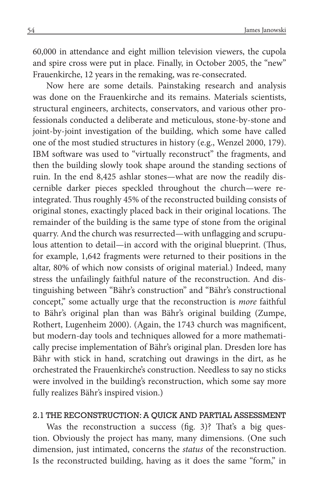60,000 in attendance and eight million television viewers, the cupola and spire cross were put in place. Finally, in October 2005, the "new" Frauenkirche, 12 years in the remaking, was re-consecrated.

Now here are some details. Painstaking research and analysis was done on the Frauenkirche and its remains. Materials scientists, structural engineers, architects, conservators, and various other professionals conducted a deliberate and meticulous, stone-by-stone and joint-by-joint investigation of the building, which some have called one of the most studied structures in history (e.g., Wenzel 2000, 179). IBM software was used to "virtually reconstruct" the fragments, and then the building slowly took shape around the standing sections of ruin. In the end 8,425 ashlar stones—what are now the readily discernible darker pieces speckled throughout the church—were reintegrated. Thus roughly 45% of the reconstructed building consists of original stones, exactingly placed back in their original locations. The remainder of the building is the same type of stone from the original quarry. And the church was resurrected—with unflagging and scrupulous attention to detail—in accord with the original blueprint. (Thus, for example, 1,642 fragments were returned to their positions in the altar, 80% of which now consists of original material.) Indeed, many stress the unfailingly faithful nature of the reconstruction. And distinguishing between "Bähr's construction" and "Bähr's constructional concept," some actually urge that the reconstruction is *more* faithful to Bähr's original plan than was Bähr's original building (Zumpe, Rothert, Lugenheim 2000). (Again, the 1743 church was magnificent, but modern-day tools and techniques allowed for a more mathematically precise implementation of Bähr's original plan. Dresden lore has Bähr with stick in hand, scratching out drawings in the dirt, as he orchestrated the Frauenkirche's construction. Needless to say no sticks were involved in the building's reconstruction, which some say more fully realizes Bähr's inspired vision.)

#### 2.1 THE RECONSTRUCTION: A QUICK AND PARTIAL ASSESSMENT

Was the reconstruction a success (fig. 3)? That's a big question. Obviously the project has many, many dimensions. (One such dimension, just intimated, concerns the *status* of the reconstruction. Is the reconstructed building, having as it does the same "form," in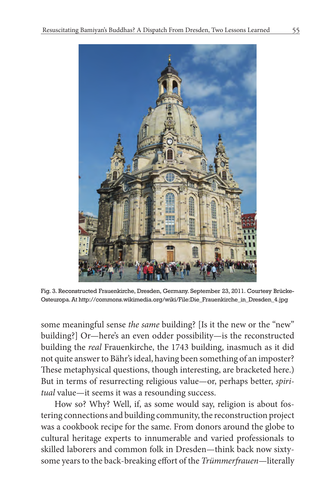

Fig. 3. Reconstructed Frauenkirche, Dresden, Germany. September 23, 2011. Courtesy Brücke-Osteuropa. At http://commons.wikimedia.org/wiki/File:Die\_Frauenkirche\_in\_Dresden\_4.jpg

some meaningful sense *the same* building? [Is it the new or the "new" building?] Or—here's an even odder possibility—is the reconstructed building the *real* Frauenkirche, the 1743 building, inasmuch as it did not quite answer to Bähr's ideal, having been something of an imposter? These metaphysical questions, though interesting, are bracketed here.) But in terms of resurrecting religious value—or, perhaps better, *spiritual* value—it seems it was a resounding success.

How so? Why? Well, if, as some would say, religion is about fostering connections and building community, the reconstruction project was a cookbook recipe for the same. From donors around the globe to cultural heritage experts to innumerable and varied professionals to skilled laborers and common folk in Dresden—think back now sixtysome years to the back-breaking effort of the *Trümmerfrauen*—literally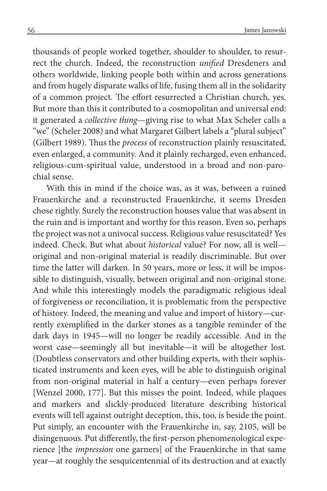thousands of people worked together, shoulder to shoulder, to resurrect the church. Indeed, the reconstruction *unified* Dresdeners and others worldwide, linking people both within and across generations and from hugely disparate walks of life, fusing them all in the solidarity of a common project. The effort resurrected a Christian church, yes. But more than this it contributed to a cosmopolitan and universal end: it generated a *collective thing*—giving rise to what Max Scheler calls a "we" (Scheler 2008) and what Margaret Gilbert labels a "plural subject" (Gilbert 1989). Thus the *process* of reconstruction plainly resuscitated, even enlarged, a community. And it plainly recharged, even enhanced, religious-cum-spiritual value, understood in a broad and non-parochial sense.

With this in mind if the choice was, as it was, between a ruined Frauenkirche and a reconstructed Frauenkirche, it seems Dresden chose rightly. Surely the reconstruction houses value that was absent in the ruin and is important and worthy for this reason. Even so, perhaps the project was not a univocal success. Religious value resuscitated? Yes indeed. Check. But what about *historical* value? For now, all is well original and non-original material is readily discriminable. But over time the latter will darken. In 50 years, more or less, it will be impossible to distinguish, visually, between original and non-original stone. And while this interestingly models the paradigmatic religious ideal of forgiveness or reconciliation, it is problematic from the perspective of history. Indeed, the meaning and value and import of history—currently exemplified in the darker stones as a tangible reminder of the dark days in 1945—will no longer be readily accessible. And in the worst case—seemingly all but inevitable—it will be altogether lost. (Doubtless conservators and other building experts, with their sophisticated instruments and keen eyes, will be able to distinguish original from non-original material in half a century—even perhaps forever [Wenzel 2000, 177]. But this misses the point. Indeed, while plaques and markers and slickly-produced literature describing historical events will tell against outright deception, this, too, is beside the point. Put simply, an encounter with the Frauenkirche in, say, 2105, will be disingenuous. Put differently, the first-person phenomenological experience [the *impression* one garners] of the Frauenkirche in that same year—at roughly the sesquicentennial of its destruction and at exactly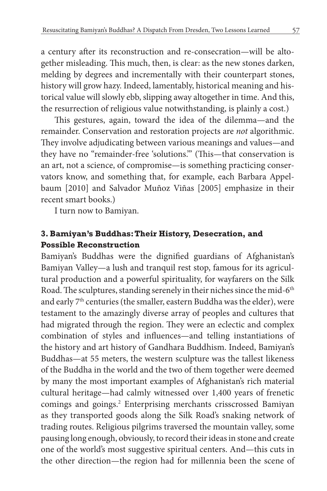a century after its reconstruction and re-consecration—will be altogether misleading. This much, then, is clear: as the new stones darken, melding by degrees and incrementally with their counterpart stones, history will grow hazy. Indeed, lamentably, historical meaning and historical value will slowly ebb, slipping away altogether in time. And this, the resurrection of religious value notwithstanding, is plainly a cost.)

This gestures, again, toward the idea of the dilemma—and the remainder. Conservation and restoration projects are *not* algorithmic. They involve adjudicating between various meanings and values—and they have no "remainder-free 'solutions.'" (This—that conservation is an art, not a science, of compromise—is something practicing conservators know, and something that, for example, each Barbara Appelbaum [2010] and Salvador Muñoz Viñas [2005] emphasize in their recent smart books.)

I turn now to Bamiyan.

# **3. Bamiyan's Buddhas: Their History, Desecration, and Possible Reconstruction**

Bamiyan's Buddhas were the dignified guardians of Afghanistan's Bamiyan Valley—a lush and tranquil rest stop, famous for its agricultural production and a powerful spirituality, for wayfarers on the Silk Road. The sculptures, standing serenely in their niches since the mid-6<sup>th</sup> and early 7<sup>th</sup> centuries (the smaller, eastern Buddha was the elder), were testament to the amazingly diverse array of peoples and cultures that had migrated through the region. They were an eclectic and complex combination of styles and influences—and telling instantiations of the history and art history of Gandhara Buddhism. Indeed, Bamiyan's Buddhas—at 55 meters, the western sculpture was the tallest likeness of the Buddha in the world and the two of them together were deemed by many the most important examples of Afghanistan's rich material cultural heritage—had calmly witnessed over 1,400 years of frenetic comings and goings.<sup>2</sup> Enterprising merchants crisscrossed Bamiyan as they transported goods along the Silk Road's snaking network of trading routes. Religious pilgrims traversed the mountain valley, some pausing long enough, obviously, to record their ideas in stone and create one of the world's most suggestive spiritual centers. And—this cuts in the other direction—the region had for millennia been the scene of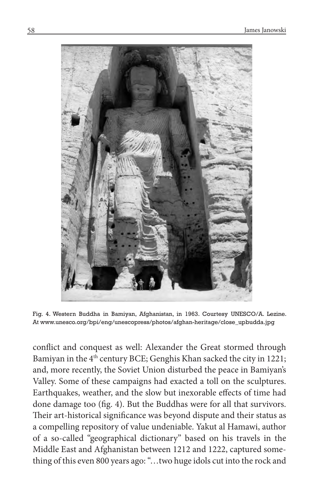

Fig. 4. Western Buddha in Bamiyan, Afghanistan, in 1963. Courtesy UNESCO/A. Lezine. At www.unesco.org/bpi/eng/unescopress/photos/afghan-heritage/close\_upbudda.jpg

conflict and conquest as well: Alexander the Great stormed through Bamiyan in the 4<sup>th</sup> century BCE; Genghis Khan sacked the city in 1221; and, more recently, the Soviet Union disturbed the peace in Bamiyan's Valley. Some of these campaigns had exacted a toll on the sculptures. Earthquakes, weather, and the slow but inexorable effects of time had done damage too (fig. 4). But the Buddhas were for all that survivors. Their art-historical significance was beyond dispute and their status as a compelling repository of value undeniable. Yakut al Hamawi, author of a so-called "geographical dictionary" based on his travels in the Middle East and Afghanistan between 1212 and 1222, captured something of this even 800 years ago: "…two huge idols cut into the rock and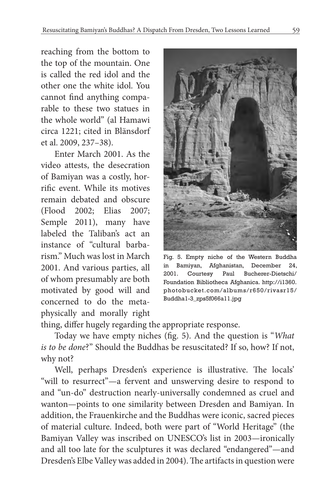reaching from the bottom to the top of the mountain. One is called the red idol and the other one the white idol. You cannot find anything comparable to these two statues in the whole world" (al Hamawi circa 1221; cited in Blänsdorf et al. 2009, 237–38).

Enter March 2001. As the video attests, the desecration of Bamiyan was a costly, horrific event. While its motives remain debated and obscure (Flood 2002; Elias 2007; Semple 2011), many have labeled the Taliban's act an instance of "cultural barbarism." Much was lost in March 2001. And various parties, all of whom presumably are both motivated by good will and concerned to do the metaphysically and morally right



Fig. 5. Empty niche of the Western Buddha in Bamiyan, Afghanistan, December 24, 2001. Courtesy Paul Bucherer-Dietschi/ Foundation Bibliotheca Afghanica. http://i1360. photobucket.com/albums/r650/rivasr15/ Buddha1-3\_zps5f066a11.jpg

thing, differ hugely regarding the appropriate response.

Today we have empty niches (fig. 5). And the question is "*What is to be done*?" Should the Buddhas be resuscitated? If so, how? If not, why not?

Well, perhaps Dresden's experience is illustrative. The locals' "will to resurrect"—a fervent and unswerving desire to respond to and "un-do" destruction nearly-universally condemned as cruel and wanton—points to one similarity between Dresden and Bamiyan. In addition, the Frauenkirche and the Buddhas were iconic, sacred pieces of material culture. Indeed, both were part of "World Heritage" (the Bamiyan Valley was inscribed on UNESCO's list in 2003—ironically and all too late for the sculptures it was declared "endangered"—and Dresden's Elbe Valley was added in 2004). The artifacts in question were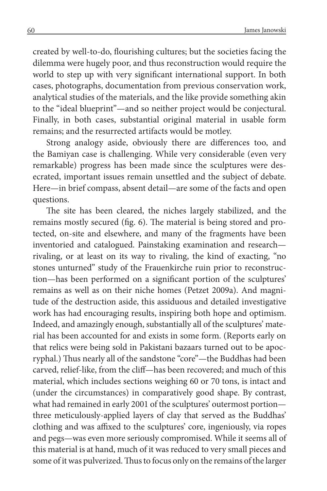created by well-to-do, flourishing cultures; but the societies facing the dilemma were hugely poor, and thus reconstruction would require the world to step up with very significant international support. In both cases, photographs, documentation from previous conservation work, analytical studies of the materials, and the like provide something akin to the "ideal blueprint"—and so neither project would be conjectural. Finally, in both cases, substantial original material in usable form remains; and the resurrected artifacts would be motley.

Strong analogy aside, obviously there are differences too, and the Bamiyan case is challenging. While very considerable (even very remarkable) progress has been made since the sculptures were desecrated, important issues remain unsettled and the subject of debate. Here—in brief compass, absent detail—are some of the facts and open questions.

The site has been cleared, the niches largely stabilized, and the remains mostly secured (fig. 6). The material is being stored and protected, on-site and elsewhere, and many of the fragments have been inventoried and catalogued. Painstaking examination and research rivaling, or at least on its way to rivaling, the kind of exacting, "no stones unturned" study of the Frauenkirche ruin prior to reconstruction—has been performed on a significant portion of the sculptures' remains as well as on their niche homes (Petzet 2009a). And magnitude of the destruction aside, this assiduous and detailed investigative work has had encouraging results, inspiring both hope and optimism. Indeed, and amazingly enough, substantially all of the sculptures' material has been accounted for and exists in some form. (Reports early on that relics were being sold in Pakistani bazaars turned out to be apocryphal.) Thus nearly all of the sandstone "core"—the Buddhas had been carved, relief-like, from the cliff—has been recovered; and much of this material, which includes sections weighing 60 or 70 tons, is intact and (under the circumstances) in comparatively good shape. By contrast, what had remained in early 2001 of the sculptures' outermost portion three meticulously-applied layers of clay that served as the Buddhas' clothing and was affixed to the sculptures' core, ingeniously, via ropes and pegs—was even more seriously compromised. While it seems all of this material is at hand, much of it was reduced to very small pieces and some of it was pulverized. Thus to focus only on the remains of the larger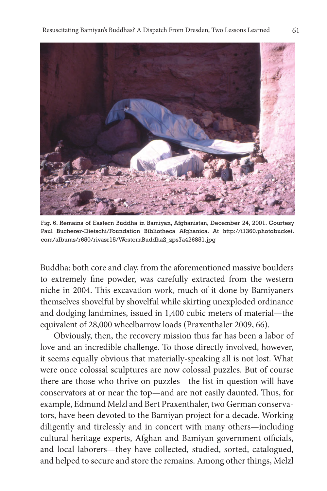

Fig. 6. Remains of Eastern Buddha in Bamiyan, Afghanistan, December 24, 2001. Courtesy Paul Bucherer-Dietschi/Foundation Bibliotheca Afghanica. At http://i1360.photobucket. com/albums/r650/rivasr15/WesternBuddha2\_zps7a426851.jpg

Buddha: both core and clay, from the aforementioned massive boulders to extremely fine powder, was carefully extracted from the western niche in 2004. This excavation work, much of it done by Bamiyaners themselves shovelful by shovelful while skirting unexploded ordinance and dodging landmines, issued in 1,400 cubic meters of material—the equivalent of 28,000 wheelbarrow loads (Praxenthaler 2009, 66).

Obviously, then, the recovery mission thus far has been a labor of love and an incredible challenge. To those directly involved, however, it seems equally obvious that materially-speaking all is not lost. What were once colossal sculptures are now colossal puzzles. But of course there are those who thrive on puzzles—the list in question will have conservators at or near the top—and are not easily daunted. Thus, for example, Edmund Melzl and Bert Praxenthaler, two German conservators, have been devoted to the Bamiyan project for a decade. Working diligently and tirelessly and in concert with many others—including cultural heritage experts, Afghan and Bamiyan government officials, and local laborers—they have collected, studied, sorted, catalogued, and helped to secure and store the remains. Among other things, Melzl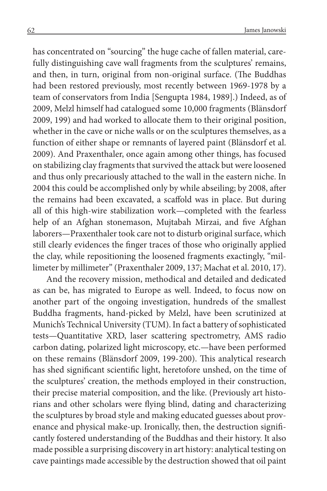has concentrated on "sourcing" the huge cache of fallen material, carefully distinguishing cave wall fragments from the sculptures' remains, and then, in turn, original from non-original surface. (The Buddhas had been restored previously, most recently between 1969-1978 by a team of conservators from India [Sengupta 1984, 1989].) Indeed, as of 2009, Melzl himself had catalogued some 10,000 fragments (Blänsdorf 2009, 199) and had worked to allocate them to their original position, whether in the cave or niche walls or on the sculptures themselves, as a function of either shape or remnants of layered paint (Blänsdorf et al. 2009). And Praxenthaler, once again among other things, has focused on stabilizing clay fragments that survived the attack but were loosened and thus only precariously attached to the wall in the eastern niche. In 2004 this could be accomplished only by while abseiling; by 2008, after the remains had been excavated, a scaffold was in place. But during all of this high-wire stabilization work—completed with the fearless help of an Afghan stonemason, Mujtabah Mirzai, and five Afghan laborers—Praxenthaler took care not to disturb original surface, which still clearly evidences the finger traces of those who originally applied the clay, while repositioning the loosened fragments exactingly, "millimeter by millimeter" (Praxenthaler 2009, 137; Machat et al. 2010, 17).

And the recovery mission, methodical and detailed and dedicated as can be, has migrated to Europe as well. Indeed, to focus now on another part of the ongoing investigation, hundreds of the smallest Buddha fragments, hand-picked by Melzl, have been scrutinized at Munich's Technical University (TUM). In fact a battery of sophisticated tests—Quantitative XRD, laser scattering spectrometry, AMS radio carbon dating, polarized light microscopy, etc.—have been performed on these remains (Blänsdorf 2009, 199-200). This analytical research has shed significant scientific light, heretofore unshed, on the time of the sculptures' creation, the methods employed in their construction, their precise material composition, and the like. (Previously art historians and other scholars were flying blind, dating and characterizing the sculptures by broad style and making educated guesses about provenance and physical make-up. Ironically, then, the destruction significantly fostered understanding of the Buddhas and their history. It also made possible a surprising discovery in art history: analytical testing on cave paintings made accessible by the destruction showed that oil paint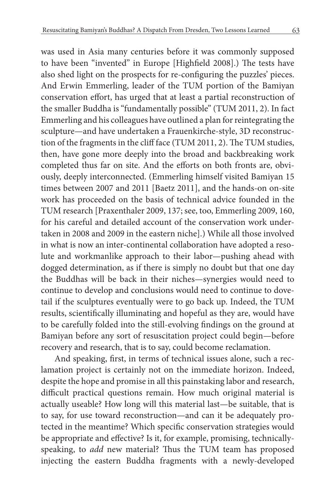was used in Asia many centuries before it was commonly supposed to have been "invented" in Europe [Highfield 2008].) The tests have also shed light on the prospects for re-configuring the puzzles' pieces. And Erwin Emmerling, leader of the TUM portion of the Bamiyan conservation effort, has urged that at least a partial reconstruction of the smaller Buddha is "fundamentally possible" (TUM 2011, 2). In fact Emmerling and his colleagues have outlined a plan for reintegrating the sculpture—and have undertaken a Frauenkirche-style, 3D reconstruction of the fragments in the cliff face (TUM 2011, 2). The TUM studies, then, have gone more deeply into the broad and backbreaking work completed thus far on site. And the efforts on both fronts are, obviously, deeply interconnected. (Emmerling himself visited Bamiyan 15 times between 2007 and 2011 [Baetz 2011], and the hands-on on-site work has proceeded on the basis of technical advice founded in the TUM research [Praxenthaler 2009, 137; see, too, Emmerling 2009, 160, for his careful and detailed account of the conservation work undertaken in 2008 and 2009 in the eastern niche].) While all those involved in what is now an inter-continental collaboration have adopted a resolute and workmanlike approach to their labor—pushing ahead with dogged determination, as if there is simply no doubt but that one day the Buddhas will be back in their niches—synergies would need to continue to develop and conclusions would need to continue to dovetail if the sculptures eventually were to go back up. Indeed, the TUM results, scientifically illuminating and hopeful as they are, would have to be carefully folded into the still-evolving findings on the ground at Bamiyan before any sort of resuscitation project could begin—before recovery and research, that is to say, could become reclamation.

And speaking, first, in terms of technical issues alone, such a reclamation project is certainly not on the immediate horizon. Indeed, despite the hope and promise in all this painstaking labor and research, difficult practical questions remain. How much original material is actually useable? How long will this material last—be suitable, that is to say, for use toward reconstruction—and can it be adequately protected in the meantime? Which specific conservation strategies would be appropriate and effective? Is it, for example, promising, technicallyspeaking, to *add* new material? Thus the TUM team has proposed injecting the eastern Buddha fragments with a newly-developed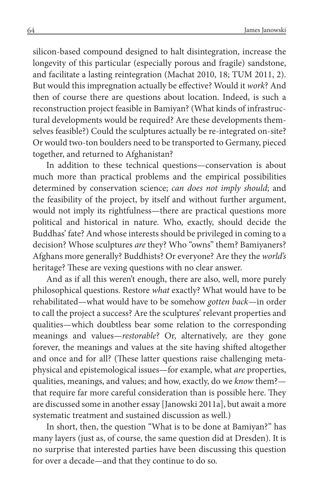silicon-based compound designed to halt disintegration, increase the longevity of this particular (especially porous and fragile) sandstone, and facilitate a lasting reintegration (Machat 2010, 18; TUM 2011, 2). But would this impregnation actually be effective? Would it *work*? And then of course there are questions about location. Indeed, is such a reconstruction project feasible in Bamiyan? (What kinds of infrastructural developments would be required? Are these developments themselves feasible?) Could the sculptures actually be re-integrated on-site? Or would two-ton boulders need to be transported to Germany, pieced together, and returned to Afghanistan?

In addition to these technical questions—conservation is about much more than practical problems and the empirical possibilities determined by conservation science; *can does not imply should*; and the feasibility of the project, by itself and without further argument, would not imply its rightfulness—there are practical questions more political and historical in nature. Who, exactly, should decide the Buddhas' fate? And whose interests should be privileged in coming to a decision? Whose sculptures *are* they? Who "owns" them? Bamiyaners? Afghans more generally? Buddhists? Or everyone? Are they the *world's* heritage? These are vexing questions with no clear answer.

And as if all this weren't enough, there are also, well, more purely philosophical questions. Restore *what* exactly? What would have to be rehabilitated—what would have to be somehow *gotten back*—in order to call the project a success? Are the sculptures' relevant properties and qualities—which doubtless bear some relation to the corresponding meanings and values—*restorable*? Or, alternatively, are they gone forever, the meanings and values at the site having shifted altogether and once and for all? (These latter questions raise challenging metaphysical and epistemological issues—for example, what *are* properties, qualities, meanings, and values; and how, exactly, do we *know* them? that require far more careful consideration than is possible here. They are discussed some in another essay [Janowski 2011a], but await a more systematic treatment and sustained discussion as well.)

In short, then, the question "What is to be done at Bamiyan?" has many layers (just as, of course, the same question did at Dresden). It is no surprise that interested parties have been discussing this question for over a decade—and that they continue to do so.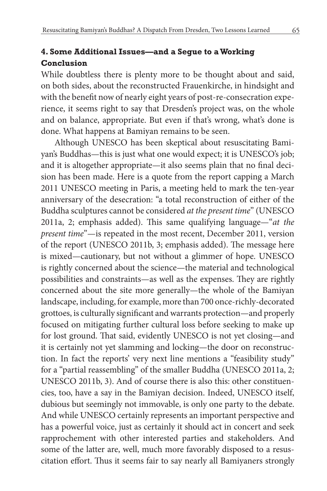# **4. Some Additional Issues—and a Segue to a Working Conclusion**

While doubtless there is plenty more to be thought about and said, on both sides, about the reconstructed Frauenkirche, in hindsight and with the benefit now of nearly eight years of post-re-consecration experience, it seems right to say that Dresden's project was, on the whole and on balance, appropriate. But even if that's wrong, what's done is done. What happens at Bamiyan remains to be seen.

Although UNESCO has been skeptical about resuscitating Bamiyan's Buddhas—this is just what one would expect; it is UNESCO's job; and it is altogether appropriate—it also seems plain that no final decision has been made. Here is a quote from the report capping a March 2011 UNESCO meeting in Paris, a meeting held to mark the ten-year anniversary of the desecration: "a total reconstruction of either of the Buddha sculptures cannot be considered *at the present time*" (UNESCO 2011a, 2; emphasis added). This same qualifying language—"*at the present time*"—is repeated in the most recent, December 2011, version of the report (UNESCO 2011b, 3; emphasis added). The message here is mixed—cautionary, but not without a glimmer of hope. UNESCO is rightly concerned about the science—the material and technological possibilities and constraints—as well as the expenses. They are rightly concerned about the site more generally—the whole of the Bamiyan landscape, including, for example, more than 700 once-richly-decorated grottoes, is culturally significant and warrants protection—and properly focused on mitigating further cultural loss before seeking to make up for lost ground. That said, evidently UNESCO is not yet closing—and it is certainly not yet slamming and locking—the door on reconstruction. In fact the reports' very next line mentions a "feasibility study" for a "partial reassembling" of the smaller Buddha (UNESCO 2011a, 2; UNESCO 2011b, 3). And of course there is also this: other constituencies, too, have a say in the Bamiyan decision. Indeed, UNESCO itself, dubious but seemingly not immovable, is only one party to the debate. And while UNESCO certainly represents an important perspective and has a powerful voice, just as certainly it should act in concert and seek rapprochement with other interested parties and stakeholders. And some of the latter are, well, much more favorably disposed to a resuscitation effort. Thus it seems fair to say nearly all Bamiyaners strongly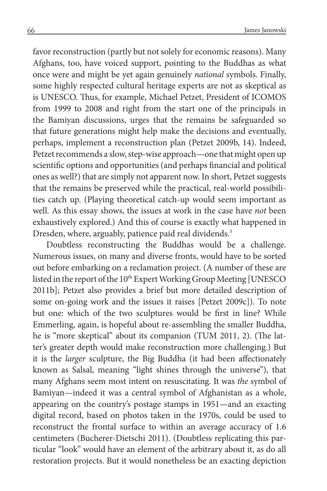favor reconstruction (partly but not solely for economic reasons). Many Afghans, too, have voiced support, pointing to the Buddhas as what once were and might be yet again genuinely *national* symbols. Finally, some highly respected cultural heritage experts are not as skeptical as is UNESCO. Thus, for example, Michael Petzet, President of ICOMOS from 1999 to 2008 and right from the start one of the principals in the Bamiyan discussions, urges that the remains be safeguarded so that future generations might help make the decisions and eventually, perhaps, implement a reconstruction plan (Petzet 2009b, 14). Indeed, Petzet recommends a slow, step-wise approach—one that might open up scientific options and opportunities (and perhaps financial and political ones as well?) that are simply not apparent now. In short, Petzet suggests that the remains be preserved while the practical, real-world possibilities catch up. (Playing theoretical catch-up would seem important as well. As this essay shows, the issues at work in the case have *not* been exhaustively explored.) And this of course is exactly what happened in Dresden, where, arguably, patience paid real dividends.<sup>3</sup>

Doubtless reconstructing the Buddhas would be a challenge. Numerous issues, on many and diverse fronts, would have to be sorted out before embarking on a reclamation project. (A number of these are listed in the report of the 10<sup>th</sup> Expert Working Group Meeting [UNESCO 2011b]; Petzet also provides a brief but more detailed description of some on-going work and the issues it raises [Petzet 2009c]). To note but one: which of the two sculptures would be first in line? While Emmerling, again, is hopeful about re-assembling the smaller Buddha, he is "more skeptical" about its companion (TUM 2011, 2). (The latter's greater depth would make reconstruction more challenging.) But it is the *larger* sculpture, the Big Buddha (it had been affectionately known as Salsal, meaning "light shines through the universe"), that many Afghans seem most intent on resuscitating. It was *the* symbol of Bamiyan—indeed it was a central symbol of Afghanistan as a whole, appearing on the country's postage stamps in 1951—and an exacting digital record, based on photos taken in the 1970s, could be used to reconstruct the frontal surface to within an average accuracy of 1.6 centimeters (Bucherer-Dietschi 2011). (Doubtless replicating this particular "look" would have an element of the arbitrary about it, as do all restoration projects. But it would nonetheless be an exacting depiction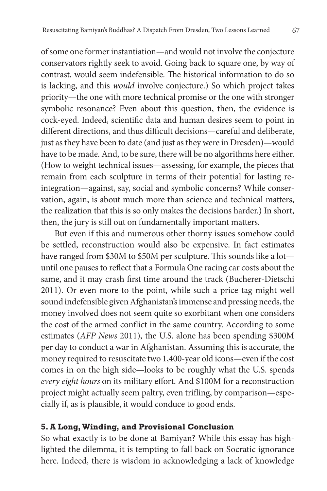of some one former instantiation—and would not involve the conjecture conservators rightly seek to avoid. Going back to square one, by way of contrast, would seem indefensible. The historical information to do so is lacking, and this *would* involve conjecture.) So which project takes priority—the one with more technical promise or the one with stronger symbolic resonance? Even about this question, then, the evidence is cock-eyed. Indeed, scientific data and human desires seem to point in different directions, and thus difficult decisions—careful and deliberate, just as they have been to date (and just as they were in Dresden)—would have to be made. And, to be sure, there will be no algorithms here either. (How to weight technical issues—assessing, for example, the pieces that remain from each sculpture in terms of their potential for lasting reintegration—against, say, social and symbolic concerns? While conservation, again, is about much more than science and technical matters, the realization that this is so only makes the decisions harder.) In short, then, the jury is still out on fundamentally important matters.

But even if this and numerous other thorny issues somehow could be settled, reconstruction would also be expensive. In fact estimates have ranged from \$30M to \$50M per sculpture. This sounds like a lot until one pauses to reflect that a Formula One racing car costs about the same, and it may crash first time around the track (Bucherer-Dietschi 2011). Or even more to the point, while such a price tag might well sound indefensible given Afghanistan's immense and pressing needs, the money involved does not seem quite so exorbitant when one considers the cost of the armed conflict in the same country. According to some estimates (*AFP News* 2011), the U.S. alone has been spending \$300M per day to conduct a war in Afghanistan. Assuming this is accurate, the money required to resuscitate two 1,400-year old icons—even if the cost comes in on the high side—looks to be roughly what the U.S. spends *every eight hours* on its military effort. And \$100M for a reconstruction project might actually seem paltry, even trifling, by comparison—especially if, as is plausible, it would conduce to good ends.

### **5. A Long, Winding, and Provisional Conclusion**

So what exactly is to be done at Bamiyan? While this essay has highlighted the dilemma, it is tempting to fall back on Socratic ignorance here. Indeed, there is wisdom in acknowledging a lack of knowledge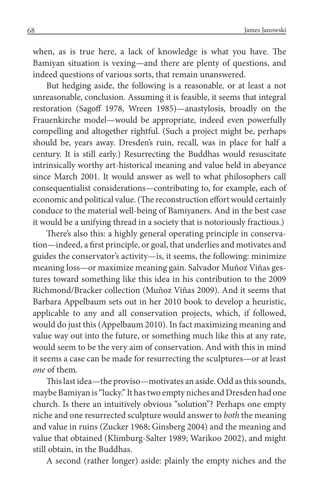when, as is true here, a lack of knowledge is what you have. The Bamiyan situation is vexing—and there are plenty of questions, and indeed questions of various sorts, that remain unanswered.

But hedging aside, the following is a reasonable*,* or at least a not unreasonable, conclusion. Assuming it is feasible, it seems that integral restoration (Sagoff 1978, Wreen 1985)—anastylosis, broadly on the Frauenkirche model—would be appropriate, indeed even powerfully compelling and altogether rightful. (Such a project might be, perhaps should be, years away. Dresden's ruin, recall, was in place for half a century. It is still early.) Resurrecting the Buddhas would resuscitate intrinsically worthy art-historical meaning and value held in abeyance since March 2001. It would answer as well to what philosophers call consequentialist considerations—contributing to, for example, each of economic and political value. (The reconstruction effort would certainly conduce to the material well-being of Bamiyaners. And in the best case it would be a unifying thread in a society that is notoriously fractious.)

There's also this: a highly general operating principle in conservation—indeed, a first principle, or goal, that underlies and motivates and guides the conservator's activity—is, it seems, the following: minimize meaning loss—or maximize meaning gain. Salvador Muñoz Viñas gestures toward something like this idea in his contribution to the 2009 Richmond/Bracker collection (Muñoz Viñas 2009). And it seems that Barbara Appelbaum sets out in her 2010 book to develop a heuristic, applicable to any and all conservation projects, which, if followed, would do just this (Appelbaum 2010). In fact maximizing meaning and value way out into the future, or something much like this at any rate, would seem to be the very aim of conservation. And with this in mind it seems a case can be made for resurrecting the sculptures—or at least *one* of them*.*

This last idea—the proviso—motivates an aside. Odd as this sounds, maybe Bamiyan is "lucky." It has two empty niches and Dresden had one church. Is there an intuitively obvious "solution"? Perhaps one empty niche and one resurrected sculpture would answer to *both* the meaning and value in ruins (Zucker 1968; Ginsberg 2004) and the meaning and value that obtained (Klimburg-Salter 1989; Warikoo 2002), and might still obtain, in the Buddhas.

A second (rather longer) aside: plainly the empty niches and the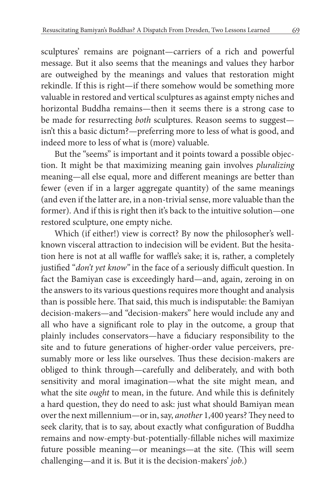sculptures' remains are poignant—carriers of a rich and powerful message. But it also seems that the meanings and values they harbor are outweighed by the meanings and values that restoration might rekindle. If this is right—if there somehow would be something more valuable in restored and vertical sculptures as against empty niches and horizontal Buddha remains—then it seems there is a strong case to be made for resurrecting *both* sculptures. Reason seems to suggest isn't this a basic dictum?—preferring more to less of what is good, and indeed more to less of what is (more) valuable.

But the "seems" is important and it points toward a possible objection. It might be that maximizing meaning gain involves *pluralizing* meaning—all else equal, more and different meanings are better than fewer (even if in a larger aggregate quantity) of the same meanings (and even if the latter are, in a non-trivial sense, more valuable than the former). And if this is right then it's back to the intuitive solution—one restored sculpture, one empty niche.

Which (if either!) view is correct? By now the philosopher's wellknown visceral attraction to indecision will be evident. But the hesitation here is not at all waffle for waffle's sake; it is, rather, a completely justified "*don't yet know"* in the face of a seriously difficult question. In fact the Bamiyan case is exceedingly hard—and, again, zeroing in on the answers to its various questions requires more thought and analysis than is possible here. That said, this much is indisputable: the Bamiyan decision-makers—and "decision-makers" here would include any and all who have a significant role to play in the outcome, a group that plainly includes conservators—have a fiduciary responsibility to the site and to future generations of higher-order value perceivers, presumably more or less like ourselves. Thus these decision-makers are obliged to think through—carefully and deliberately, and with both sensitivity and moral imagination—what the site might mean, and what the site *ought* to mean, in the future. And while this is definitely a hard question, they do need to ask: just what should Bamiyan mean over the next millennium—or in, say, *another* 1,400 years? They need to seek clarity, that is to say, about exactly what configuration of Buddha remains and now-empty-but-potentially-fillable niches will maximize future possible meaning—or meanings—at the site. (This will seem challenging—and it is. But it is the decision-makers' *job*.)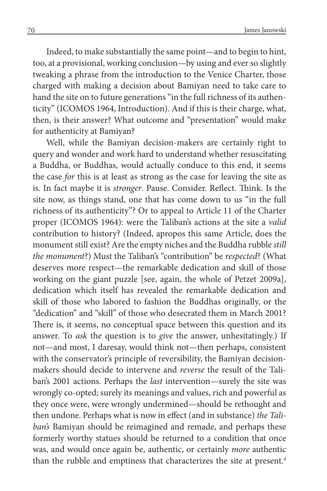Indeed, to make substantially the same point—and to begin to hint, too, at a provisional, working conclusion—by using and ever so slightly tweaking a phrase from the introduction to the Venice Charter, those charged with making a decision about Bamiyan need to take care to hand the site on to future generations "in the full richness of its authenticity" (ICOMOS 1964, Introduction). And if this is their charge, what, then, is their answer? What outcome and "presentation" would make for authenticity at Bamiyan?

Well, while the Bamiyan decision-makers are certainly right to query and wonder and work hard to understand whether resuscitating a Buddha, or Buddhas, would actually conduce to this end, it seems the case *for* this is at least as strong as the case for leaving the site as is. In fact maybe it is *stronger*. Pause. Consider. Reflect. Think. Is the site now, as things stand, one that has come down to us "in the full richness of its authenticity"? Or to appeal to Article 11 of the Charter proper (ICOMOS 1964): were the Taliban's actions at the site a *valid* contribution to history? (Indeed, apropos this same Article, does the monument still exist? Are the empty niches and the Buddha rubble *still the monument*?) Must the Taliban's "contribution" be *respected*? (What deserves more respect—the remarkable dedication and skill of those working on the giant puzzle [see, again, the whole of Petzet 2009a], dedication which itself has revealed the remarkable dedication and skill of those who labored to fashion the Buddhas originally, or the "dedication" and "skill" of those who desecrated them in March 2001? There is, it seems, no conceptual space between this question and its answer. To *ask* the question is to *give* the answer, unhesitatingly.) If not—and most, I daresay, would think not—then perhaps, consistent with the conservator's principle of reversibility, the Bamiyan decisionmakers should decide to intervene and *reverse* the result of the Taliban's 2001 actions. Perhaps the *last* intervention—surely the site was wrongly co-opted; surely its meanings and values, rich and powerful as they once were, were wrongly undermined—should be rethought and then undone. Perhaps what is now in effect (and in substance) *the Taliban's* Bamiyan should be reimagined and remade, and perhaps these formerly worthy statues should be returned to a condition that once was, and would once again be, authentic, or certainly *more* authentic than the rubble and emptiness that characterizes the site at present.<sup>4</sup>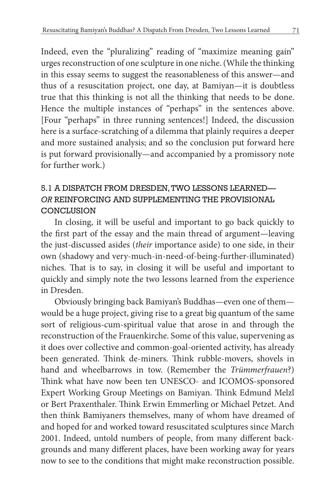Indeed, even the "pluralizing" reading of "maximize meaning gain" urges reconstruction of one sculpture in one niche. (While the thinking in this essay seems to suggest the reasonableness of this answer—and thus of a resuscitation project, one day, at Bamiyan—it is doubtless true that this thinking is not all the thinking that needs to be done. Hence the multiple instances of "perhaps" in the sentences above. [Four "perhaps" in three running sentences!] Indeed, the discussion here is a surface-scratching of a dilemma that plainly requires a deeper and more sustained analysis; and so the conclusion put forward here is put forward provisionally—and accompanied by a promissory note for further work.)

# 5.1 A DISPATCH FROM DRESDEN, TWO LESSONS LEARNED— *OR* REINFORCING AND SUPPLEMENTING THE PROVISIONAL **CONCLUSION**

In closing, it will be useful and important to go back quickly to the first part of the essay and the main thread of argument—leaving the just-discussed asides (*their* importance aside) to one side, in their own (shadowy and very-much-in-need-of-being-further-illuminated) niches. That is to say, in closing it will be useful and important to quickly and simply note the two lessons learned from the experience in Dresden.

Obviously bringing back Bamiyan's Buddhas—even one of them would be a huge project, giving rise to a great big quantum of the same sort of religious-cum-spiritual value that arose in and through the reconstruction of the Frauenkirche. Some of this value, supervening as it does over collective and common-goal-oriented activity, has already been generated. Think de-miners. Think rubble-movers, shovels in hand and wheelbarrows in tow. (Remember the *Trümmerfrauen*?) Think what have now been ten UNESCO- and ICOMOS-sponsored Expert Working Group Meetings on Bamiyan. Think Edmund Melzl or Bert Praxenthaler. Think Erwin Emmerling or Michael Petzet. And then think Bamiyaners themselves, many of whom have dreamed of and hoped for and worked toward resuscitated sculptures since March 2001. Indeed, untold numbers of people, from many different backgrounds and many different places, have been working away for years now to see to the conditions that might make reconstruction possible.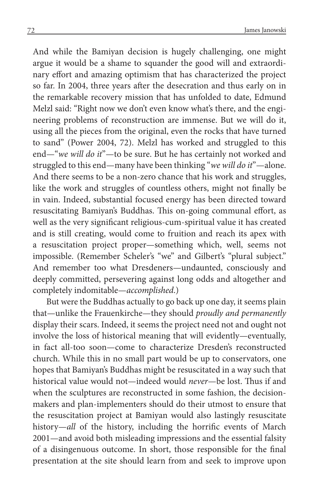And while the Bamiyan decision is hugely challenging, one might argue it would be a shame to squander the good will and extraordinary effort and amazing optimism that has characterized the project so far. In 2004, three years after the desecration and thus early on in the remarkable recovery mission that has unfolded to date, Edmund Melzl said: "Right now we don't even know what's there, and the engineering problems of reconstruction are immense. But we will do it, using all the pieces from the original, even the rocks that have turned to sand" (Power 2004, 72). Melzl has worked and struggled to this end—"*we will do it*"—to be sure. But he has certainly not worked and struggled to this end—many have been thinking "*we will do it*"—alone. And there seems to be a non-zero chance that his work and struggles, like the work and struggles of countless others, might not finally be in vain. Indeed, substantial focused energy has been directed toward resuscitating Bamiyan's Buddhas. This on-going communal effort, as well as the very significant religious-cum-spiritual value it has created and is still creating, would come to fruition and reach its apex with a resuscitation project proper—something which, well, seems not impossible. (Remember Scheler's "we" and Gilbert's "plural subject." And remember too what Dresdeners—undaunted, consciously and deeply committed, persevering against long odds and altogether and completely indomitable—*accomplished*.)

But were the Buddhas actually to go back up one day, it seems plain that—unlike the Frauenkirche—they should *proudly and permanently*  display their scars. Indeed, it seems the project need not and ought not involve the loss of historical meaning that will evidently—eventually, in fact all-too soon—come to characterize Dresden's reconstructed church. While this in no small part would be up to conservators, one hopes that Bamiyan's Buddhas might be resuscitated in a way such that historical value would not—indeed would *never*—be lost. Thus if and when the sculptures are reconstructed in some fashion, the decisionmakers and plan-implementers should do their utmost to ensure that the resuscitation project at Bamiyan would also lastingly resuscitate history—*all* of the history, including the horrific events of March 2001—and avoid both misleading impressions and the essential falsity of a disingenuous outcome. In short, those responsible for the final presentation at the site should learn from and seek to improve upon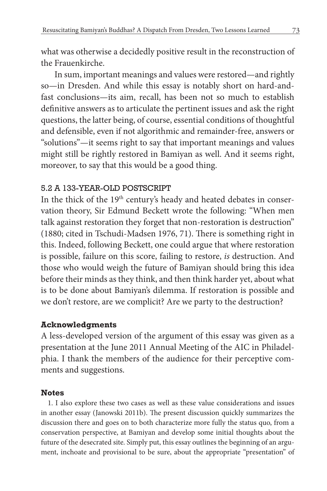what was otherwise a decidedly positive result in the reconstruction of the Frauenkirche.

In sum, important meanings and values were restored—and rightly so—in Dresden. And while this essay is notably short on hard-andfast conclusions—its aim, recall, has been not so much to establish definitive answers as to articulate the pertinent issues and ask the right questions, the latter being, of course, essential conditions of thoughtful and defensible, even if not algorithmic and remainder-free, answers or "solutions"—it seems right to say that important meanings and values might still be rightly restored in Bamiyan as well. And it seems right, moreover, to say that this would be a good thing.

## 5.2 A 133-YEAR-OLD POSTSCRIPT

In the thick of the  $19<sup>th</sup>$  century's heady and heated debates in conservation theory, Sir Edmund Beckett wrote the following: "When men talk against restoration they forget that non-restoration is destruction" (1880; cited in Tschudi-Madsen 1976, 71). There is something right in this. Indeed, following Beckett, one could argue that where restoration is possible, failure on this score, failing to restore, *is* destruction. And those who would weigh the future of Bamiyan should bring this idea before their minds as they think, and then think harder yet, about what is to be done about Bamiyan's dilemma. If restoration is possible and we don't restore, are we complicit? Are we party to the destruction?

# **Acknowledgments**

A less-developed version of the argument of this essay was given as a presentation at the June 2011 Annual Meeting of the AIC in Philadelphia. I thank the members of the audience for their perceptive comments and suggestions.

### **Notes**

1. I also explore these two cases as well as these value considerations and issues in another essay (Janowski 2011b). The present discussion quickly summarizes the discussion there and goes on to both characterize more fully the status quo, from a conservation perspective, at Bamiyan and develop some initial thoughts about the future of the desecrated site. Simply put, this essay outlines the beginning of an argument, inchoate and provisional to be sure, about the appropriate "presentation" of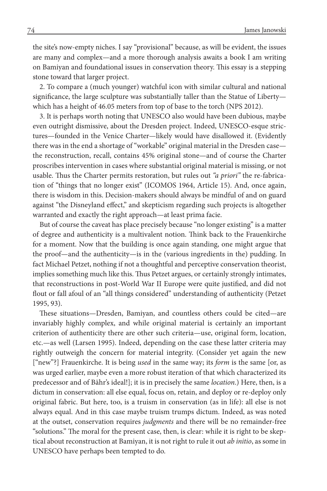the site's now-empty niches. I say "provisional" because, as will be evident, the issues are many and complex—and a more thorough analysis awaits a book I am writing on Bamiyan and foundational issues in conservation theory. This essay is a stepping stone toward that larger project.

2. To compare a (much younger) watchful icon with similar cultural and national significance, the large sculpture was substantially taller than the Statue of Liberty which has a height of 46.05 meters from top of base to the torch (NPS 2012).

3. It is perhaps worth noting that UNESCO also would have been dubious, maybe even outright dismissive, about the Dresden project. Indeed, UNESCO-esque strictures—founded in the Venice Charter—likely would have disallowed it. (Evidently there was in the end a shortage of "workable" original material in the Dresden case the reconstruction, recall, contains 45% original stone—and of course the Charter proscribes intervention in cases where substantial original material is missing, or not usable. Thus the Charter permits restoration, but rules out *"a priori"* the re-fabrication of "things that no longer exist" (ICOMOS 1964, Article 15). And, once again, there is wisdom in this. Decision-makers should always be mindful of and on guard against "the Disneyland effect," and skepticism regarding such projects is altogether warranted and exactly the right approach—at least prima facie.

But of course the caveat has place precisely because "no longer existing" is a matter of degree and authenticity is a multivalent notion. Think back to the Frauenkirche for a moment. Now that the building is once again standing, one might argue that the proof—and the authenticity—is in the (various ingredients in the) pudding. In fact Michael Petzet, nothing if not a thoughtful and perceptive conservation theorist, implies something much like this. Thus Petzet argues, or certainly strongly intimates, that reconstructions in post-World War II Europe were quite justified, and did not flout or fall afoul of an "all things considered" understanding of authenticity (Petzet 1995, 93).

These situations—Dresden, Bamiyan, and countless others could be cited—are invariably highly complex, and while original material is certainly an important criterion of authenticity there are other such criteria—use, original form, location, etc.—as well (Larsen 1995). Indeed, depending on the case these latter criteria may rightly outweigh the concern for material integrity. (Consider yet again the new ["new"?] Frauenkirche. It is being *used* in the same way; its *form* is the same [or, as was urged earlier, maybe even a more robust iteration of that which characterized its predecessor and of Bähr's ideal!]; it is in precisely the same *location*.) Here, then, is a dictum in conservation: all else equal, focus on, retain, and deploy or re-deploy only original fabric. But here, too, is a truism in conservation (as in life): all else is not always equal. And in this case maybe truism trumps dictum. Indeed, as was noted at the outset, conservation requires *judgments* and there will be no remainder-free "solutions." The moral for the present case, then, is clear: while it is right to be skeptical about reconstruction at Bamiyan, it is not right to rule it out *ab initio*, as some in UNESCO have perhaps been tempted to do.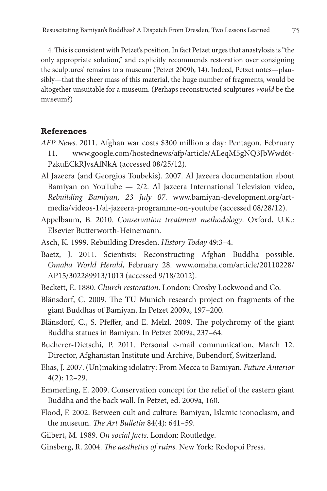4. This is consistent with Petzet's position. In fact Petzet urges that anastylosis is "the only appropriate solution," and explicitly recommends restoration over consigning the sculptures' remains to a museum (Petzet 2009b, 14). Indeed, Petzet notes—plausibly—that the sheer mass of this material, the huge number of fragments, would be altogether unsuitable for a museum. (Perhaps reconstructed sculptures *would* be the museum?)

#### **References**

- *AFP News*. 2011. Afghan war costs \$300 million a day: Pentagon. February 11. www.google.com/hostednews/afp/article/ALeqM5gNQ3JbWwd6t-PzkuECkRJvsAlNkA (accessed 08/25/12).
- Al Jazeera (and Georgios Toubekis). 2007. Al Jazeera documentation about Bamiyan on YouTube — 2/2. Al Jazeera International Television video, *Rebuilding Bamiyan, 23 July 07*. www.bamiyan-development.org/artmedia/videos-1/al-jazeera-programme-on-youtube (accessed 08/28/12).
- Appelbaum, B. 2010. *Conservation treatment methodology*. Oxford, U.K.: Elsevier Butterworth-Heinemann.
- Asch, K. 1999. Rebuilding Dresden. *History Today* 49:3–4.
- Baetz, J. 2011. Scientists: Reconstructing Afghan Buddha possible. *Omaha World Herald*, February 28. www.omaha.com/article/20110228/ AP15/302289913/1013 (accessed 9/18/2012).
- Beckett, E. 1880. *Church restoration*. London: Crosby Lockwood and Co.
- Blänsdorf, C. 2009. The TU Munich research project on fragments of the giant Buddhas of Bamiyan. In Petzet 2009a, 197–200.
- Blänsdorf, C., S. Pfeffer, and E. Melzl. 2009. The polychromy of the giant Buddha statues in Bamiyan. In Petzet 2009a, 237–64.
- Bucherer-Dietschi, P. 2011. Personal e-mail communication, March 12. Director, Afghanistan Institute und Archive, Bubendorf, Switzerland.
- Elias, J. 2007. (Un)making idolatry: From Mecca to Bamiyan. *Future Anterior* 4(2): 12–29.
- Emmerling, E. 2009. Conservation concept for the relief of the eastern giant Buddha and the back wall. In Petzet, ed. 2009a, 160.
- Flood, F. 2002. Between cult and culture: Bamiyan, Islamic iconoclasm, and the museum. *The Art Bulletin* 84(4): 641–59.
- Gilbert, M. 1989. *On social facts*. London: Routledge.
- Ginsberg, R. 2004. *The aesthetics of ruins*. New York: Rodopoi Press.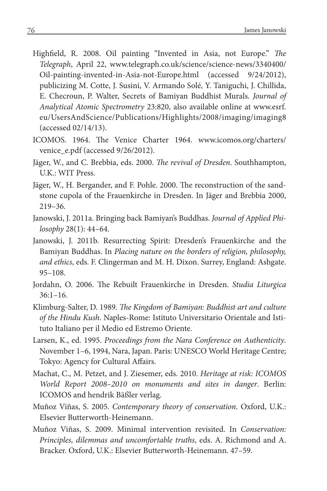- Highfield, R. 2008. Oil painting "Invented in Asia, not Europe." *The Telegraph*, April 22, www.telegraph.co.uk/science/science-news/3340400/ Oil-painting-invented-in-Asia-not-Europe.html (accessed 9/24/2012), publicizing M. Cotte, J. Susini, V. Armando Solé, Y. Taniguchi, J. Chillida, E. Checroun, P. Walter, Secrets of Bamiyan Buddhist Murals. *Journal of Analytical Atomic Spectrometry* 23:820, also available online at www.esrf. eu/UsersAndScience/Publications/Highlights/2008/imaging/imaging8 (accessed 02/14/13).
- ICOMOS. 1964. The Venice Charter 1964. www.icomos.org/charters/ venice\_e.pdf (accessed 9/26/2012).
- Jäger, W., and C. Brebbia, eds. 2000. *The revival of Dresden*. Southhampton, U.K.: WIT Press.
- Jäger, W., H. Bergander, and F. Pohle. 2000. The reconstruction of the sandstone cupola of the Frauenkirche in Dresden. In Jäger and Brebbia 2000, 219–36.
- Janowski, J. 2011a. Bringing back Bamiyan's Buddhas. *Journal of Applied Philosophy* 28(1): 44–64.
- Janowski, J. 2011b. Resurrecting Spirit: Dresden's Frauenkirche and the Bamiyan Buddhas. In *Placing nature on the borders of religion, philosophy, and ethics*, eds. F. Clingerman and M. H. Dixon. Surrey, England: Ashgate. 95–108.
- Jordahn, O. 2006. The Rebuilt Frauenkirche in Dresden. *Studia Liturgica* 36:1–16.
- Klimburg-Salter, D. 1989. *The Kingdom of Bamiyan: Buddhist art and culture of the Hindu Kush*. Naples-Rome: Istituto Universitario Orientale and Istituto Italiano per il Medio ed Estremo Oriente.
- Larsen, K., ed. 1995. *Proceedings from the Nara Conference on Authenticity*. November 1–6, 1994, Nara, Japan. Paris: UNESCO World Heritage Centre; Tokyo: Agency for Cultural Affairs.
- Machat, C., M. Petzet, and J. Ziesemer, eds. 2010. *Heritage at risk: ICOMOS World Report 2008–2010 on monuments and sites in danger*. Berlin: ICOMOS and hendrik Bäßler verlag.
- Muñoz Viñas, S. 2005. *Contemporary theory of conservation*. Oxford, U.K.: Elsevier Butterworth-Heinemann.
- Muñoz Viñas, S. 2009. Minimal intervention revisited. In *Conservation: Principles, dilemmas and uncomfortable truths*, eds. A. Richmond and A. Bracker. Oxford, U.K.: Elsevier Butterworth-Heinemann. 47–59.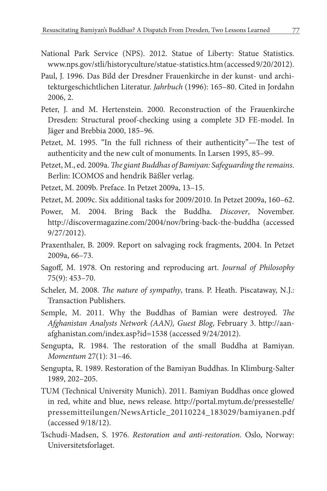- National Park Service (NPS). 2012. Statue of Liberty: Statue Statistics. www.nps.gov/stli/historyculture/statue-statistics.htm (accessed 9/20/2012).
- Paul, J. 1996. Das Bild der Dresdner Frauenkirche in der kunst- und architekturgeschichtlichen Literatur. *Jahrbuch* (1996): 165–80. Cited in Jordahn 2006, 2.
- Peter, J. and M. Hertenstein. 2000. Reconstruction of the Frauenkirche Dresden: Structural proof-checking using a complete 3D FE-model. In Jäger and Brebbia 2000, 185–96.
- Petzet, M. 1995. "In the full richness of their authenticity"—The test of authenticity and the new cult of monuments. In Larsen 1995, 85–99.
- Petzet, M., ed. 2009a. *The giant Buddhas of Bamiyan: Safeguarding the remains*. Berlin: ICOMOS and hendrik Bäßler verlag.
- Petzet, M. 2009b. Preface. In Petzet 2009a, 13–15.
- Petzet, M. 2009c. Six additional tasks for 2009/2010. In Petzet 2009a, 160–62.
- Power, M. 2004. Bring Back the Buddha. *Discover*, November. http://discovermagazine.com/2004/nov/bring-back-the-buddha (accessed 9/27/2012).
- Praxenthaler, B. 2009. Report on salvaging rock fragments, 2004. In Petzet 2009a, 66–73.
- Sagoff, M. 1978. On restoring and reproducing art. *Journal of Philosophy* 75(9): 453–70.
- Scheler, M. 2008. *The nature of sympathy*, trans. P. Heath. Piscataway, N.J.: Transaction Publishers.
- Semple, M. 2011. Why the Buddhas of Bamian were destroyed. *The Afghanistan Analysts Network (AAN), Guest Blog*, February 3. http://aanafghanistan.com/index.asp?id=1538 (accessed 9/24/2012).
- Sengupta, R. 1984. The restoration of the small Buddha at Bamiyan. *Momentum* 27(1): 31–46.
- Sengupta, R. 1989. Restoration of the Bamiyan Buddhas. In Klimburg-Salter 1989, 202–205.
- TUM (Technical University Munich). 2011. Bamiyan Buddhas once glowed in red, white and blue, news release. http://portal.mytum.de/pressestelle/ pressemitteilungen/NewsArticle\_20110224\_183029/bamiyanen.pdf (accessed 9/18/12).
- Tschudi-Madsen, S. 1976. *Restoration and anti-restoration*. Oslo, Norway: Universitetsforlaget.